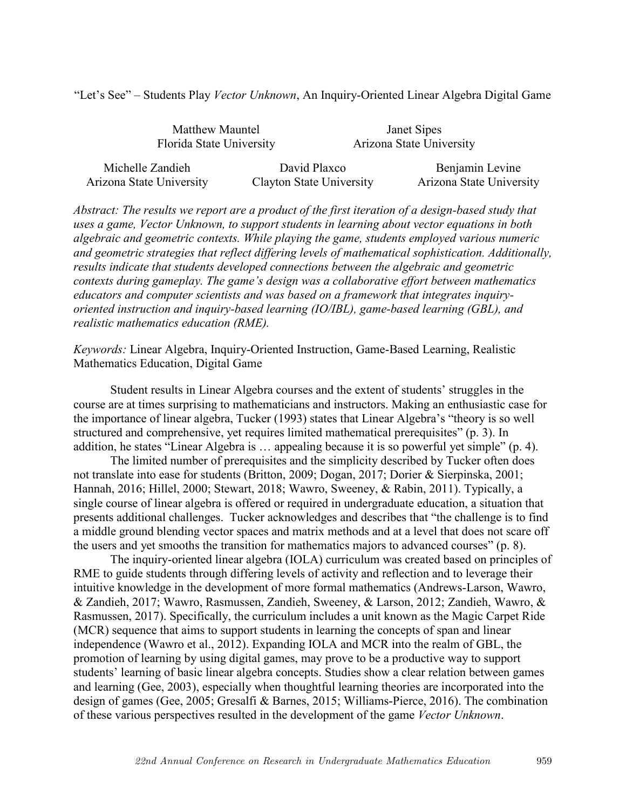"Let's See" – Students Play *Vector Unknown*, An Inquiry-Oriented Linear Algebra Digital Game

| Matthew Mauntel          |              | Janet Sipes              |                 |
|--------------------------|--------------|--------------------------|-----------------|
| Florida State University |              | Arizona State University |                 |
| Michelle Zandieh         | David Plaxco |                          | Benjamin Levine |

Arizona State University Clayton State University Arizona State University

*Abstract: The results we report are a product of the first iteration of a design-based study that uses a game, Vector Unknown, to support students in learning about vector equations in both algebraic and geometric contexts. While playing the game, students employed various numeric and geometric strategies that reflect differing levels of mathematical sophistication. Additionally, results indicate that students developed connections between the algebraic and geometric contexts during gameplay. The game's design was a collaborative effort between mathematics educators and computer scientists and was based on a framework that integrates inquiryoriented instruction and inquiry-based learning (IO/IBL), game-based learning (GBL), and realistic mathematics education (RME).*

*Keywords:* Linear Algebra, Inquiry-Oriented Instruction, Game-Based Learning, Realistic Mathematics Education, Digital Game

Student results in Linear Algebra courses and the extent of students' struggles in the course are at times surprising to mathematicians and instructors. Making an enthusiastic case for the importance of linear algebra, Tucker (1993) states that Linear Algebra's "theory is so well structured and comprehensive, yet requires limited mathematical prerequisites" (p. 3). In addition, he states "Linear Algebra is … appealing because it is so powerful yet simple" (p. 4).

The limited number of prerequisites and the simplicity described by Tucker often does not translate into ease for students (Britton, 2009; Dogan, 2017; Dorier & Sierpinska, 2001; Hannah, 2016; Hillel, 2000; Stewart, 2018; Wawro, Sweeney, & Rabin, 2011). Typically, a single course of linear algebra is offered or required in undergraduate education, a situation that presents additional challenges. Tucker acknowledges and describes that "the challenge is to find a middle ground blending vector spaces and matrix methods and at a level that does not scare off the users and yet smooths the transition for mathematics majors to advanced courses" (p. 8).

The inquiry-oriented linear algebra (IOLA) curriculum was created based on principles of RME to guide students through differing levels of activity and reflection and to leverage their intuitive knowledge in the development of more formal mathematics (Andrews-Larson, Wawro, & Zandieh, 2017; Wawro, Rasmussen, Zandieh, Sweeney, & Larson, 2012; Zandieh, Wawro, & Rasmussen, 2017). Specifically, the curriculum includes a unit known as the Magic Carpet Ride (MCR) sequence that aims to support students in learning the concepts of span and linear independence (Wawro et al., 2012). Expanding IOLA and MCR into the realm of GBL, the promotion of learning by using digital games, may prove to be a productive way to support students' learning of basic linear algebra concepts. Studies show a clear relation between games and learning (Gee, 2003), especially when thoughtful learning theories are incorporated into the design of games (Gee, 2005; Gresalfi & Barnes, 2015; Williams-Pierce, 2016). The combination of these various perspectives resulted in the development of the game *Vector Unknown*.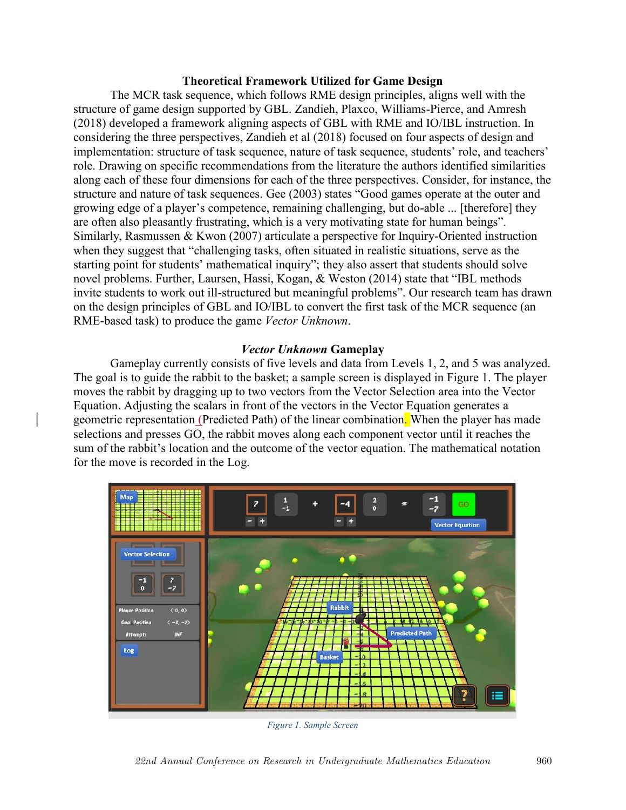### **Theoretical Framework Utilized for Game Design**

The MCR task sequence, which follows RME design principles, aligns well with the structure of game design supported by GBL. Zandieh, Plaxco, Williams-Pierce, and Amresh (2018) developed a framework aligning aspects of GBL with RME and IO/IBL instruction. In considering the three perspectives, Zandieh et al (2018) focused on four aspects of design and implementation: structure of task sequence, nature of task sequence, students' role, and teachers' role. Drawing on specific recommendations from the literature the authors identified similarities along each of these four dimensions for each of the three perspectives. Consider, for instance, the structure and nature of task sequences. Gee (2003) states "Good games operate at the outer and growing edge of a player's competence, remaining challenging, but do-able ... [therefore] they are often also pleasantly frustrating, which is a very motivating state for human beings". Similarly, Rasmussen & Kwon (2007) articulate a perspective for Inquiry-Oriented instruction when they suggest that "challenging tasks, often situated in realistic situations, serve as the starting point for students' mathematical inquiry"; they also assert that students should solve novel problems. Further, Laursen, Hassi, Kogan, & Weston (2014) state that "IBL methods invite students to work out ill-structured but meaningful problems". Our research team has drawn on the design principles of GBL and IO/IBL to convert the first task of the MCR sequence (an RME-based task) to produce the game *Vector Unknown*.

## *Vector Unknown* **Gameplay**

Gameplay currently consists of five levels and data from Levels 1, 2, and 5 was analyzed. The goal is to guide the rabbit to the basket; a sample screen is displayed in Figure 1. The player moves the rabbit by dragging up to two vectors from the Vector Selection area into the Vector Equation. Adjusting the scalars in front of the vectors in the Vector Equation generates a geometric representation (Predicted Path) of the linear combination. When the player has made selections and presses GO, the rabbit moves along each component vector until it reaches the sum of the rabbit's location and the outcome of the vector equation. The mathematical notation for the move is recorded in the Log.



*Figure 1. Sample Screen*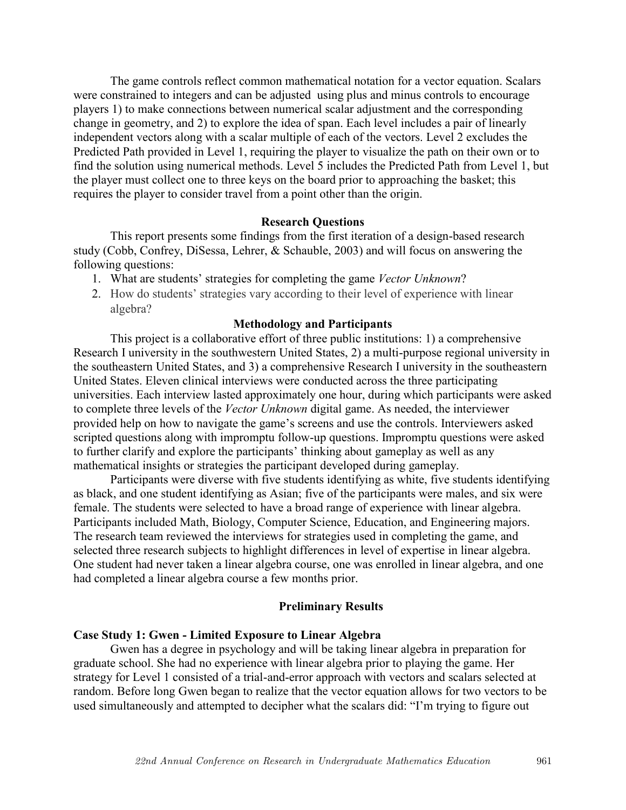The game controls reflect common mathematical notation for a vector equation. Scalars were constrained to integers and can be adjusted using plus and minus controls to encourage players 1) to make connections between numerical scalar adjustment and the corresponding change in geometry, and 2) to explore the idea of span. Each level includes a pair of linearly independent vectors along with a scalar multiple of each of the vectors. Level 2 excludes the Predicted Path provided in Level 1, requiring the player to visualize the path on their own or to find the solution using numerical methods. Level 5 includes the Predicted Path from Level 1, but the player must collect one to three keys on the board prior to approaching the basket; this requires the player to consider travel from a point other than the origin.

#### **Research Questions**

This report presents some findings from the first iteration of a design-based research study (Cobb, Confrey, DiSessa, Lehrer, & Schauble, 2003) and will focus on answering the following questions:

- 1. What are students' strategies for completing the game *Vector Unknown*?
- 2. How do students' strategies vary according to their level of experience with linear algebra?

#### **Methodology and Participants**

This project is a collaborative effort of three public institutions: 1) a comprehensive Research I university in the southwestern United States, 2) a multi-purpose regional university in the southeastern United States, and 3) a comprehensive Research I university in the southeastern United States. Eleven clinical interviews were conducted across the three participating universities. Each interview lasted approximately one hour, during which participants were asked to complete three levels of the *Vector Unknown* digital game. As needed, the interviewer provided help on how to navigate the game's screens and use the controls. Interviewers asked scripted questions along with impromptu follow-up questions. Impromptu questions were asked to further clarify and explore the participants' thinking about gameplay as well as any mathematical insights or strategies the participant developed during gameplay.

Participants were diverse with five students identifying as white, five students identifying as black, and one student identifying as Asian; five of the participants were males, and six were female. The students were selected to have a broad range of experience with linear algebra. Participants included Math, Biology, Computer Science, Education, and Engineering majors. The research team reviewed the interviews for strategies used in completing the game, and selected three research subjects to highlight differences in level of expertise in linear algebra. One student had never taken a linear algebra course, one was enrolled in linear algebra, and one had completed a linear algebra course a few months prior.

#### **Preliminary Results**

#### **Case Study 1: Gwen - Limited Exposure to Linear Algebra**

Gwen has a degree in psychology and will be taking linear algebra in preparation for graduate school. She had no experience with linear algebra prior to playing the game. Her strategy for Level 1 consisted of a trial-and-error approach with vectors and scalars selected at random. Before long Gwen began to realize that the vector equation allows for two vectors to be used simultaneously and attempted to decipher what the scalars did: "I'm trying to figure out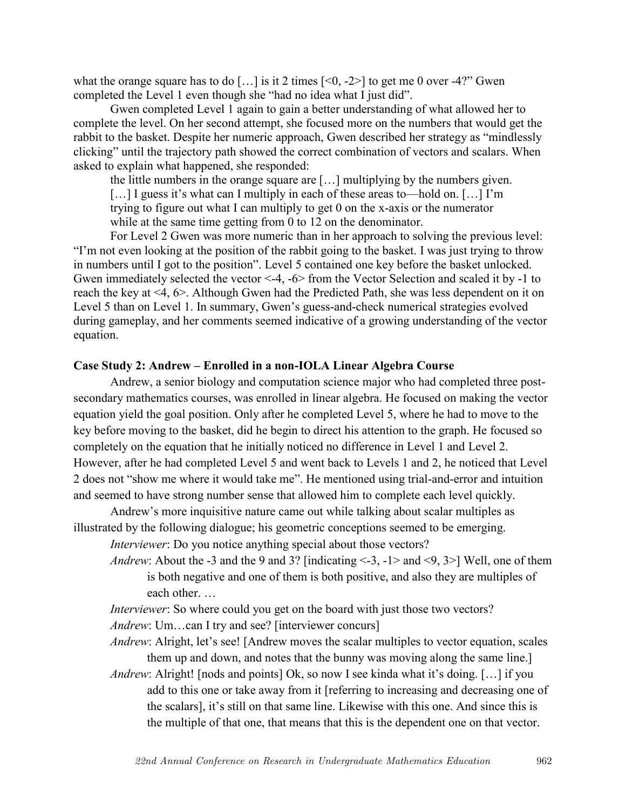what the orange square has to do [...] is it 2 times  $\lfloor 0, -2 \rfloor$  to get me 0 over -4?" Gwen completed the Level 1 even though she "had no idea what I just did".

Gwen completed Level 1 again to gain a better understanding of what allowed her to complete the level. On her second attempt, she focused more on the numbers that would get the rabbit to the basket. Despite her numeric approach, Gwen described her strategy as "mindlessly clicking" until the trajectory path showed the correct combination of vectors and scalars. When asked to explain what happened, she responded:

the little numbers in the orange square are […] multiplying by the numbers given. [...] I guess it's what can I multiply in each of these areas to—hold on. [...] I'm trying to figure out what I can multiply to get 0 on the x-axis or the numerator while at the same time getting from 0 to 12 on the denominator.

For Level 2 Gwen was more numeric than in her approach to solving the previous level: "I'm not even looking at the position of the rabbit going to the basket. I was just trying to throw in numbers until I got to the position". Level 5 contained one key before the basket unlocked. Gwen immediately selected the vector <-4, -6> from the Vector Selection and scaled it by -1 to reach the key at <4, 6>. Although Gwen had the Predicted Path, she was less dependent on it on Level 5 than on Level 1. In summary, Gwen's guess-and-check numerical strategies evolved during gameplay, and her comments seemed indicative of a growing understanding of the vector equation.

## **Case Study 2: Andrew – Enrolled in a non-IOLA Linear Algebra Course**

Andrew, a senior biology and computation science major who had completed three postsecondary mathematics courses, was enrolled in linear algebra. He focused on making the vector equation yield the goal position. Only after he completed Level 5, where he had to move to the key before moving to the basket, did he begin to direct his attention to the graph. He focused so completely on the equation that he initially noticed no difference in Level 1 and Level 2. However, after he had completed Level 5 and went back to Levels 1 and 2, he noticed that Level 2 does not "show me where it would take me". He mentioned using trial-and-error and intuition and seemed to have strong number sense that allowed him to complete each level quickly.

Andrew's more inquisitive nature came out while talking about scalar multiples as illustrated by the following dialogue; his geometric conceptions seemed to be emerging.

*Interviewer*: Do you notice anything special about those vectors?

*Andrew*: About the -3 and the 9 and 3? [indicating <-3, -1> and <9, 3>] Well, one of them is both negative and one of them is both positive, and also they are multiples of each other. …

*Interviewer*: So where could you get on the board with just those two vectors?

*Andrew*: Um...can I try and see? [interviewer concurs]

*Andrew*: Alright, let's see! [Andrew moves the scalar multiples to vector equation, scales them up and down, and notes that the bunny was moving along the same line.]

*Andrew*: Alright! [nods and points] Ok, so now I see kinda what it's doing. [...] if you add to this one or take away from it [referring to increasing and decreasing one of the scalars], it's still on that same line. Likewise with this one. And since this is the multiple of that one, that means that this is the dependent one on that vector.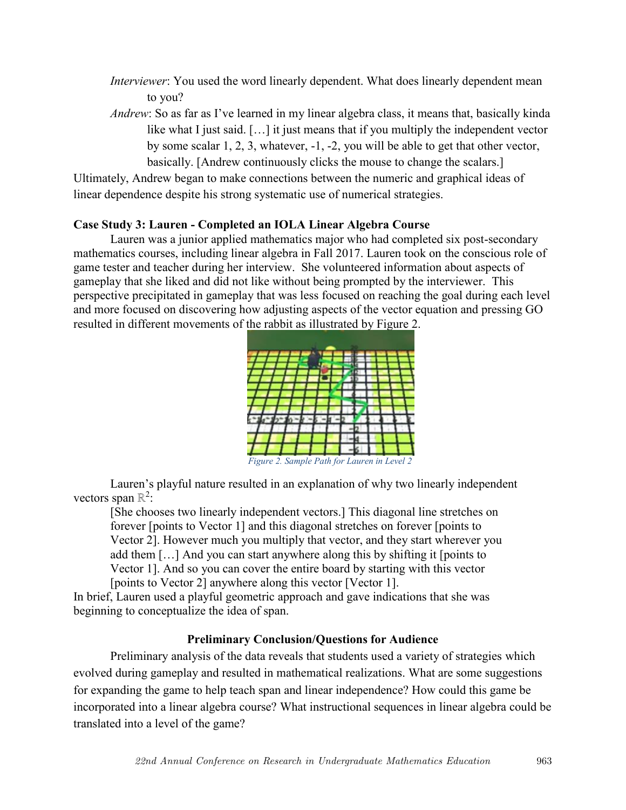- *Interviewer*: You used the word linearly dependent. What does linearly dependent mean to you?
- *Andrew*: So as far as I've learned in my linear algebra class, it means that, basically kinda like what I just said. […] it just means that if you multiply the independent vector by some scalar 1, 2, 3, whatever, -1, -2, you will be able to get that other vector, basically. [Andrew continuously clicks the mouse to change the scalars.]

Ultimately, Andrew began to make connections between the numeric and graphical ideas of linear dependence despite his strong systematic use of numerical strategies.

# **Case Study 3: Lauren - Completed an IOLA Linear Algebra Course**

Lauren was a junior applied mathematics major who had completed six post-secondary mathematics courses, including linear algebra in Fall 2017. Lauren took on the conscious role of game tester and teacher during her interview. She volunteered information about aspects of gameplay that she liked and did not like without being prompted by the interviewer. This perspective precipitated in gameplay that was less focused on reaching the goal during each level and more focused on discovering how adjusting aspects of the vector equation and pressing GO resulted in different movements of the rabbit as illustrated by Figure 2.



Lauren's playful nature resulted in an explanation of why two linearly independent vectors span  $\mathbb{R}^2$ :

[She chooses two linearly independent vectors.] This diagonal line stretches on forever [points to Vector 1] and this diagonal stretches on forever [points to Vector 2]. However much you multiply that vector, and they start wherever you add them […] And you can start anywhere along this by shifting it [points to Vector 1]. And so you can cover the entire board by starting with this vector [points to Vector 2] anywhere along this vector [Vector 1].

In brief, Lauren used a playful geometric approach and gave indications that she was beginning to conceptualize the idea of span.

# **Preliminary Conclusion/Questions for Audience**

Preliminary analysis of the data reveals that students used a variety of strategies which evolved during gameplay and resulted in mathematical realizations. What are some suggestions for expanding the game to help teach span and linear independence? How could this game be incorporated into a linear algebra course? What instructional sequences in linear algebra could be translated into a level of the game?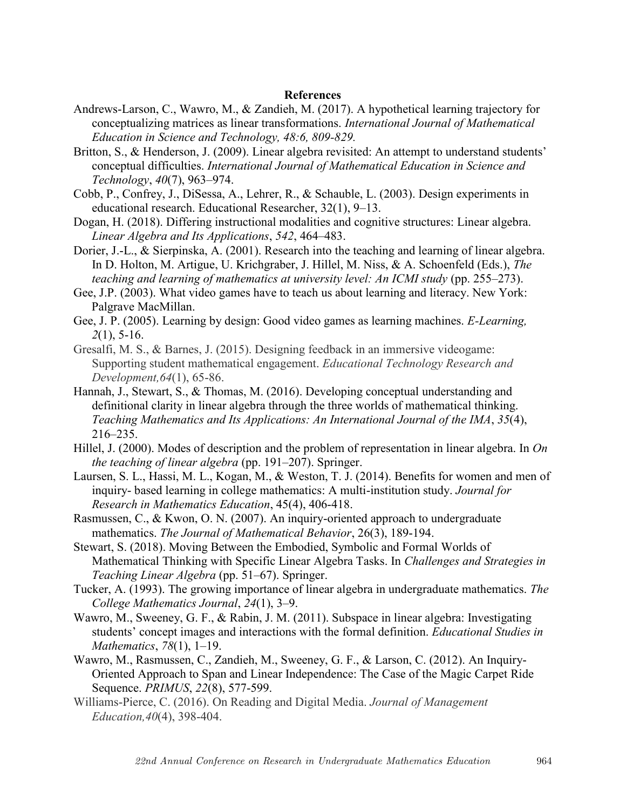### **References**

- Andrews-Larson, C., Wawro, M., & Zandieh, M. (2017). A hypothetical learning trajectory for conceptualizing matrices as linear transformations. *International Journal of Mathematical Education in Science and Technology, 48:6, 809-829.*
- Britton, S., & Henderson, J. (2009). Linear algebra revisited: An attempt to understand students' conceptual difficulties. *International Journal of Mathematical Education in Science and Technology*, *40*(7), 963–974.
- Cobb, P., Confrey, J., DiSessa, A., Lehrer, R., & Schauble, L. (2003). Design experiments in educational research. Educational Researcher, 32(1), 9–13.
- Dogan, H. (2018). Differing instructional modalities and cognitive structures: Linear algebra. *Linear Algebra and Its Applications*, *542*, 464–483.
- Dorier, J.-L., & Sierpinska, A. (2001). Research into the teaching and learning of linear algebra. In D. Holton, M. Artigue, U. Krichgraber, J. Hillel, M. Niss, & A. Schoenfeld (Eds.), *The teaching and learning of mathematics at university level: An ICMI study (pp. 255–273).*
- Gee, J.P. (2003). What video games have to teach us about learning and literacy. New York: Palgrave MacMillan.
- Gee, J. P. (2005). Learning by design: Good video games as learning machines. *E-Learning, 2*(1), 5-16.
- Gresalfi, M. S., & Barnes, J. (2015). Designing feedback in an immersive videogame: Supporting student mathematical engagement. *Educational Technology Research and Development,64*(1), 65-86.
- Hannah, J., Stewart, S., & Thomas, M. (2016). Developing conceptual understanding and definitional clarity in linear algebra through the three worlds of mathematical thinking. *Teaching Mathematics and Its Applications: An International Journal of the IMA*, *35*(4), 216–235.
- Hillel, J. (2000). Modes of description and the problem of representation in linear algebra. In *On the teaching of linear algebra* (pp. 191–207). Springer.
- Laursen, S. L., Hassi, M. L., Kogan, M., & Weston, T. J. (2014). Benefits for women and men of inquiry- based learning in college mathematics: A multi-institution study. *Journal for Research in Mathematics Education*, 45(4), 406-418.
- Rasmussen, C., & Kwon, O. N. (2007). An inquiry-oriented approach to undergraduate mathematics. *The Journal of Mathematical Behavior*, 26(3), 189-194.
- Stewart, S. (2018). Moving Between the Embodied, Symbolic and Formal Worlds of Mathematical Thinking with Specific Linear Algebra Tasks. In *Challenges and Strategies in Teaching Linear Algebra* (pp. 51–67). Springer.
- Tucker, A. (1993). The growing importance of linear algebra in undergraduate mathematics. *The College Mathematics Journal*, *24*(1), 3–9.
- Wawro, M., Sweeney, G. F., & Rabin, J. M. (2011). Subspace in linear algebra: Investigating students' concept images and interactions with the formal definition. *Educational Studies in Mathematics*, *78*(1), 1–19.
- Wawro, M., Rasmussen, C., Zandieh, M., Sweeney, G. F., & Larson, C. (2012). An Inquiry-Oriented Approach to Span and Linear Independence: The Case of the Magic Carpet Ride Sequence. *PRIMUS*, *22*(8), 577-599.
- Williams-Pierce, C. (2016). On Reading and Digital Media. *Journal of Management Education,40*(4), 398-404.